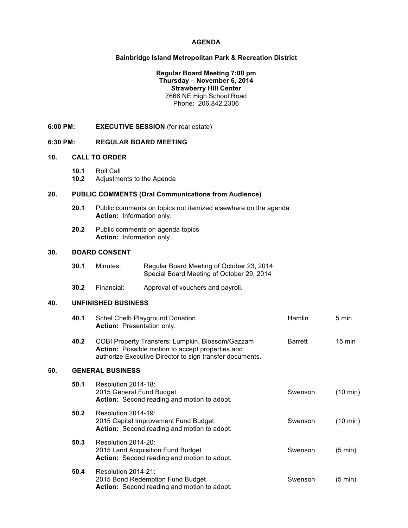# **AGENDA**

## **Bainbridge Island Metropolitan Park & Recreation District**

## **Regular Board Meeting 7:00 pm Thursday – November 6, 2014 Strawberry Hill Center** 7666 NE High School Road Phone: 206.842.2306

**6:00 PM: EXECUTIVE SESSION** (for real estate)

#### **6:30 PM: REGULAR BOARD MEETING**

## **10. CALL TO ORDER**

**10.1** Roll Call

**10.2** Adjustments to the Agenda

## **20. PUBLIC COMMENTS (Oral Communications from Audience)**

- **20.1** Public comments on topics not itemized elsewhere on the agenda **Action:** Information only.
- **20.2** Public comments on agenda topics **Action:** Information only.

#### **30. BOARD CONSENT**

| 30.1 | Minutes: | Regular Board Meeting of October 23, 2014 |
|------|----------|-------------------------------------------|
|      |          | Special Board Meeting of October 29, 2014 |

authorize Executive Director to sign transfer documents.

**30.2** Financial: Approval of vouchers and payroll.

## **40. UNFINISHED BUSINESS**

| 40.1 | Schel Chelb Playground Donation<br><b>Action:</b> Presentation only.                                        | <b>Hamlin</b>  | 5 min            |
|------|-------------------------------------------------------------------------------------------------------------|----------------|------------------|
| 40.2 | COBI Property Transfers: Lumpkin, Blossom/Gazzam<br><b>Action:</b> Possible motion to accept properties and | <b>Barrett</b> | $15 \text{ min}$ |

## **50. GENERAL BUSINESS**

| 50.1 | Resolution 2014-18:<br>2015 General Fund Budget<br><b>Action:</b> Second reading and motion to adopt.             | Swenson | (10 min) |
|------|-------------------------------------------------------------------------------------------------------------------|---------|----------|
| 50.2 | Resolution 2014-19:<br>2015 Capital Improvement Fund Budget<br><b>Action:</b> Second reading and motion to adopt. | Swenson | (10 min) |
| 50.3 | Resolution 2014-20:<br>2015 Land Acquisition Fund Budget<br><b>Action:</b> Second reading and motion to adopt.    | Swenson | (5 min)  |
| 50.4 | Resolution 2014-21:<br>2015 Bond Redemption Fund Budget<br>Action: Second reading and motion to adopt.            | Swenson | (5 min)  |